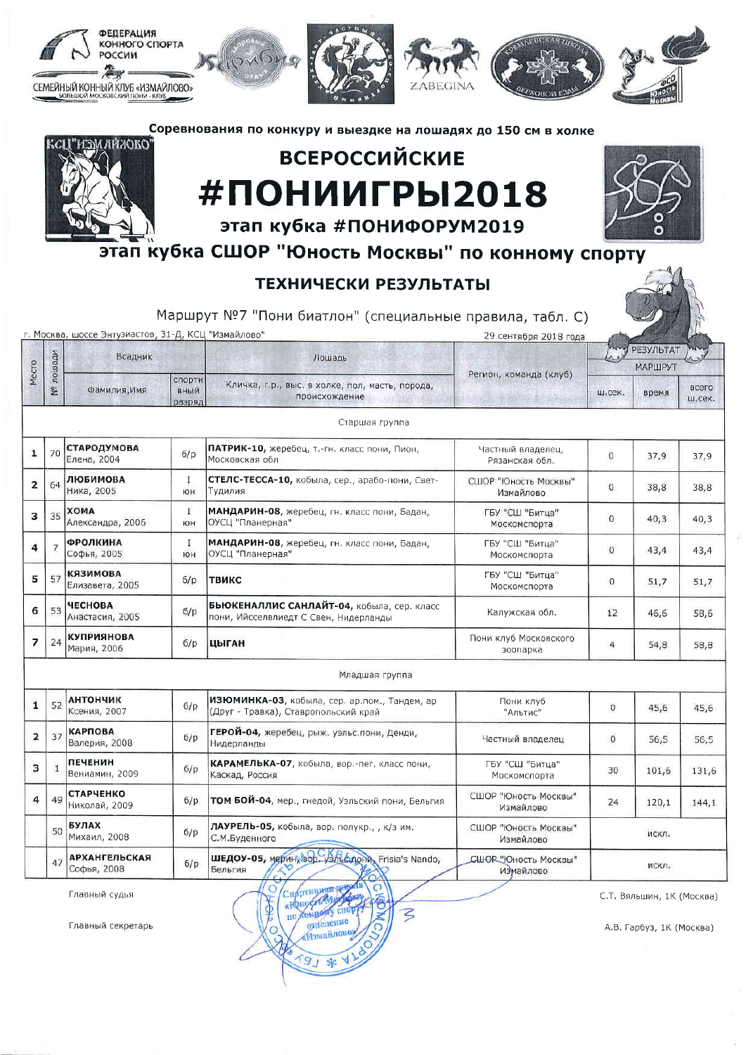

Главный секретарь

**оуделение** «Измайлово»  $181*$ 

vi 0

А.В. Гарбуз, 1К (Москва)